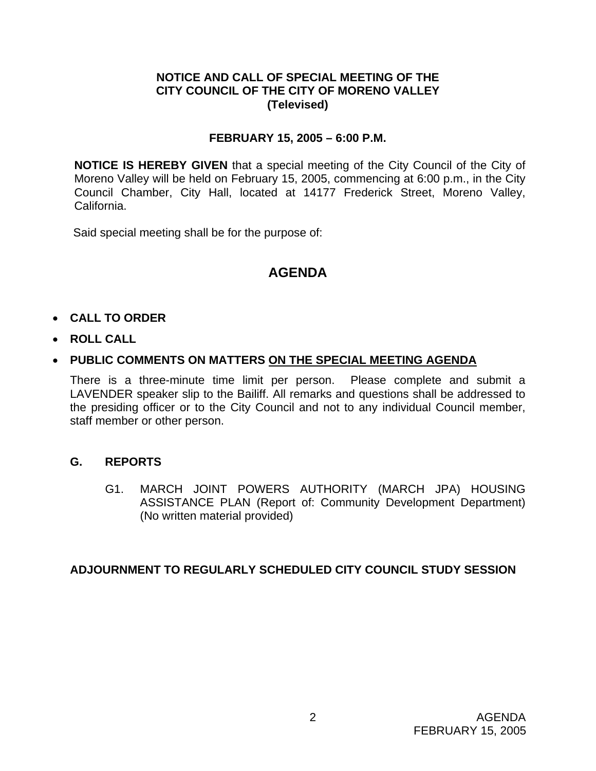# **NOTICE AND CALL OF SPECIAL MEETING OF THE CITY COUNCIL OF THE CITY OF MORENO VALLEY (Televised)**

# **FEBRUARY 15, 2005 – 6:00 P.M.**

**NOTICE IS HEREBY GIVEN** that a special meeting of the City Council of the City of Moreno Valley will be held on February 15, 2005, commencing at 6:00 p.m., in the City Council Chamber, City Hall, located at 14177 Frederick Street, Moreno Valley, California.

Said special meeting shall be for the purpose of:

# **AGENDA**

# • **CALL TO ORDER**

• **ROLL CALL**

# • **PUBLIC COMMENTS ON MATTERS ON THE SPECIAL MEETING AGENDA**

There is a three-minute time limit per person. Please complete and submit a LAVENDER speaker slip to the Bailiff. All remarks and questions shall be addressed to the presiding officer or to the City Council and not to any individual Council member, staff member or other person.

#### **G. REPORTS**

G1. MARCH JOINT POWERS AUTHORITY (MARCH JPA) HOUSING ASSISTANCE PLAN (Report of: Community Development Department) (No written material provided)

#### **ADJOURNMENT TO REGULARLY SCHEDULED CITY COUNCIL STUDY SESSION**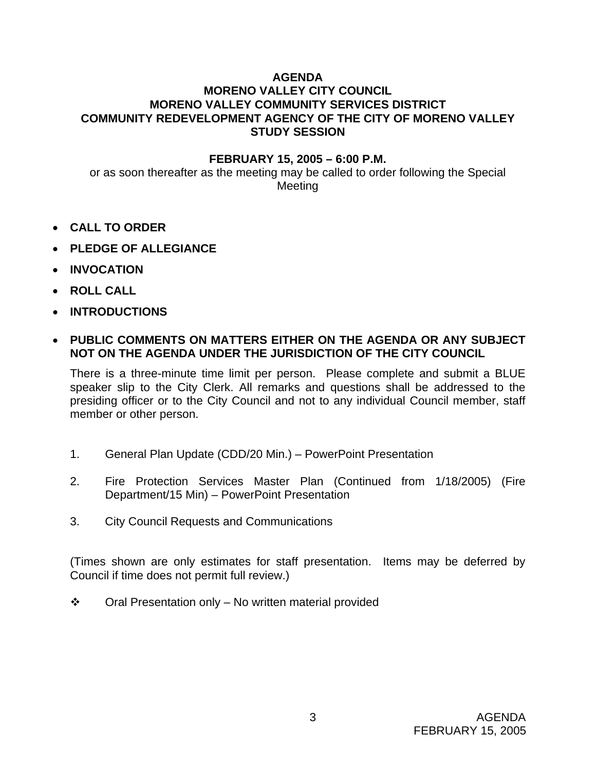# **AGENDA**

# **MORENO VALLEY CITY COUNCIL MORENO VALLEY COMMUNITY SERVICES DISTRICT COMMUNITY REDEVELOPMENT AGENCY OF THE CITY OF MORENO VALLEY STUDY SESSION**

#### **FEBRUARY 15, 2005 – 6:00 P.M.**

or as soon thereafter as the meeting may be called to order following the Special Meeting

- **CALL TO ORDER**
- **PLEDGE OF ALLEGIANCE**
- **INVOCATION**
- **ROLL CALL**
- **INTRODUCTIONS**

#### • **PUBLIC COMMENTS ON MATTERS EITHER ON THE AGENDA OR ANY SUBJECT NOT ON THE AGENDA UNDER THE JURISDICTION OF THE CITY COUNCIL**

There is a three-minute time limit per person. Please complete and submit a BLUE speaker slip to the City Clerk. All remarks and questions shall be addressed to the presiding officer or to the City Council and not to any individual Council member, staff member or other person.

- 1. General Plan Update (CDD/20 Min.) PowerPoint Presentation
- 2. Fire Protection Services Master Plan (Continued from 1/18/2005) (Fire Department/15 Min) – PowerPoint Presentation
- 3. City Council Requests and Communications

(Times shown are only estimates for staff presentation. Items may be deferred by Council if time does not permit full review.)

 $\div$  Oral Presentation only – No written material provided